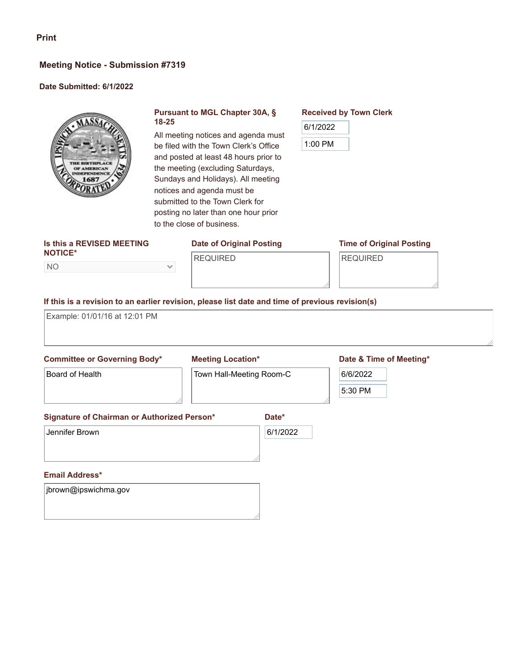## **Meeting Notice - Submission #7319**

### **Date Submitted: 6/1/2022**



## **Pursuant to MGL Chapter 30A, § 18-25**

All meeting notices and agenda must be filed with the Town Clerk's Office and posted at least 48 hours prior to the meeting (excluding Saturdays, Sundays and Holidays). All meeting notices and agenda must be submitted to the Town Clerk for posting no later than one hour prior to the close of business.

#### **Is this a REVISED MEETING NOTICE\***

NO

# **Date of Original Posting** REQUIRED

**Time of Original Posting**

REQUIRED

**Received by Town Clerk**

6/1/2022

1:00 PM

 $\checkmark$ 

# **If this is a revision to an earlier revision, please list date and time of previous revision(s)**

Example: 01/01/16 at 12:01 PM

### **Committee or Governing Body\***

### **Meeting Location\***

Town Hall-Meeting Room-C

# **Date & Time of Meeting\***

Board of Health

**Date\***

6/1/2022

# **Signature of Chairman or Authorized Person\***

Jennifer Brown

### **Email Address\***

jbrown@ipswichma.gov

6/6/2022

5:30 PM